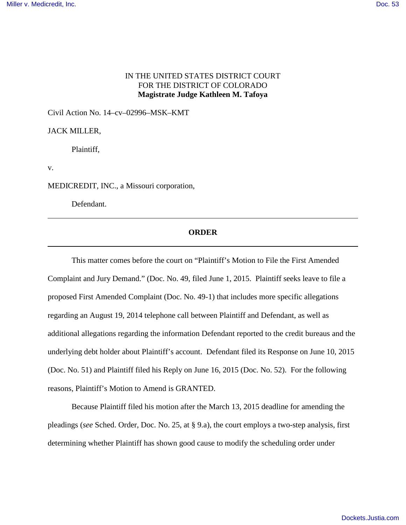## IN THE UNITED STATES DISTRICT COURT FOR THE DISTRICT OF COLORADO **Magistrate Judge Kathleen M. Tafoya**

Civil Action No. 14–cv–02996–MSK–KMT

## JACK MILLER,

Plaintiff,

v.

MEDICREDIT, INC., a Missouri corporation,

Defendant.

## **ORDER**

This matter comes before the court on "Plaintiff's Motion to File the First Amended Complaint and Jury Demand." (Doc. No. 49, filed June 1, 2015. Plaintiff seeks leave to file a proposed First Amended Complaint (Doc. No. 49-1) that includes more specific allegations regarding an August 19, 2014 telephone call between Plaintiff and Defendant, as well as additional allegations regarding the information Defendant reported to the credit bureaus and the underlying debt holder about Plaintiff's account. Defendant filed its Response on June 10, 2015 (Doc. No. 51) and Plaintiff filed his Reply on June 16, 2015 (Doc. No. 52). For the following reasons, Plaintiff's Motion to Amend is GRANTED.

Because Plaintiff filed his motion after the March 13, 2015 deadline for amending the pleadings (*see* Sched. Order, Doc. No. 25, at § 9.a), the court employs a two-step analysis, first determining whether Plaintiff has shown good cause to modify the scheduling order under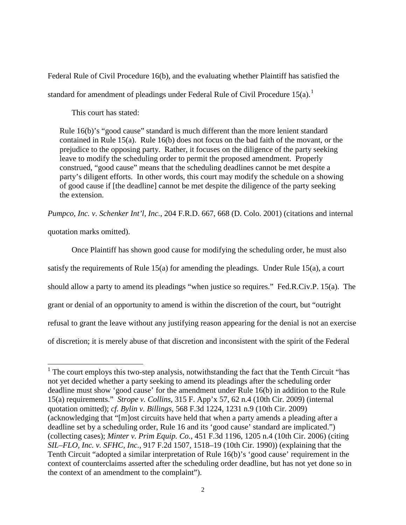Federal Rule of Civil Procedure 16(b), and the evaluating whether Plaintiff has satisfied the standard for amendment of pleadings under Federal Rule of Civil Procedure  $15(a)$  $15(a)$ .<sup>1</sup>

This court has stated:

Rule 16(b)'s "good cause" standard is much different than the more lenient standard contained in Rule 15(a). Rule 16(b) does not focus on the bad faith of the movant, or the prejudice to the opposing party. Rather, it focuses on the diligence of the party seeking leave to modify the scheduling order to permit the proposed amendment. Properly construed, "good cause" means that the scheduling deadlines cannot be met despite a party's diligent efforts. In other words, this court may modify the schedule on a showing of good cause if [the deadline] cannot be met despite the diligence of the party seeking the extension.

*Pumpco, Inc. v. Schenker Int'l, Inc.*, 204 F.R.D. 667, 668 (D. Colo. 2001) (citations and internal

quotation marks omitted).

 $\overline{a}$ 

Once Plaintiff has shown good cause for modifying the scheduling order, he must also satisfy the requirements of Rule 15(a) for amending the pleadings. Under Rule 15(a), a court should allow a party to amend its pleadings "when justice so requires." Fed.R.Civ.P. 15(a). The grant or denial of an opportunity to amend is within the discretion of the court, but "outright refusal to grant the leave without any justifying reason appearing for the denial is not an exercise of discretion; it is merely abuse of that discretion and inconsistent with the spirit of the Federal

<span id="page-1-0"></span><sup>&</sup>lt;sup>1</sup> The court employs this two-step analysis, notwithstanding the fact that the Tenth Circuit "has not yet decided whether a party seeking to amend its pleadings after the scheduling order deadline must show 'good cause' for the amendment under Rule 16(b) in addition to the Rule 15(a) requirements." *Strope v. Collins,* 315 F. App'x 57, 62 n.4 (10th Cir. 2009) (internal quotation omitted); *cf. Bylin v. Billings*, 568 F.3d 1224, 1231 n.9 (10th Cir. 2009) (acknowledging that "[m]ost circuits have held that when a party amends a pleading after a deadline set by a scheduling order, Rule 16 and its 'good cause' standard are implicated.") (collecting cases); *Minter v. Prim Equip. Co.*, 451 F.3d 1196, 1205 n.4 (10th Cir. 2006) (citing *SIL–FLO, Inc. v. SFHC, Inc.*, 917 F.2d 1507, 1518–19 (10th Cir. 1990)) (explaining that the Tenth Circuit "adopted a similar interpretation of Rule 16(b)'s 'good cause' requirement in the context of counterclaims asserted after the scheduling order deadline, but has not yet done so in the context of an amendment to the complaint").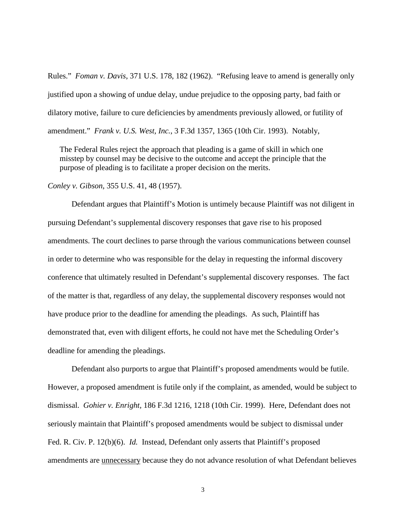Rules." *Foman v. Davis*, 371 U.S. 178, 182 (1962). "Refusing leave to amend is generally only justified upon a showing of undue delay, undue prejudice to the opposing party, bad faith or dilatory motive, failure to cure deficiencies by amendments previously allowed, or futility of amendment." *Frank v. U.S. West, Inc.*, 3 F.3d 1357, 1365 (10th Cir. 1993). Notably,

The Federal Rules reject the approach that pleading is a game of skill in which one misstep by counsel may be decisive to the outcome and accept the principle that the purpose of pleading is to facilitate a proper decision on the merits.

*Conley v. Gibson*, 355 U.S. 41, 48 (1957).

Defendant argues that Plaintiff's Motion is untimely because Plaintiff was not diligent in pursuing Defendant's supplemental discovery responses that gave rise to his proposed amendments. The court declines to parse through the various communications between counsel in order to determine who was responsible for the delay in requesting the informal discovery conference that ultimately resulted in Defendant's supplemental discovery responses. The fact of the matter is that, regardless of any delay, the supplemental discovery responses would not have produce prior to the deadline for amending the pleadings. As such, Plaintiff has demonstrated that, even with diligent efforts, he could not have met the Scheduling Order's deadline for amending the pleadings.

 Defendant also purports to argue that Plaintiff's proposed amendments would be futile. However, a proposed amendment is futile only if the complaint, as amended, would be subject to dismissal. *Gohier v. Enright,* 186 F.3d 1216, 1218 (10th Cir. 1999). Here, Defendant does not seriously maintain that Plaintiff's proposed amendments would be subject to dismissal under Fed. R. Civ. P. 12(b)(6). *Id.* Instead, Defendant only asserts that Plaintiff's proposed amendments are unnecessary because they do not advance resolution of what Defendant believes